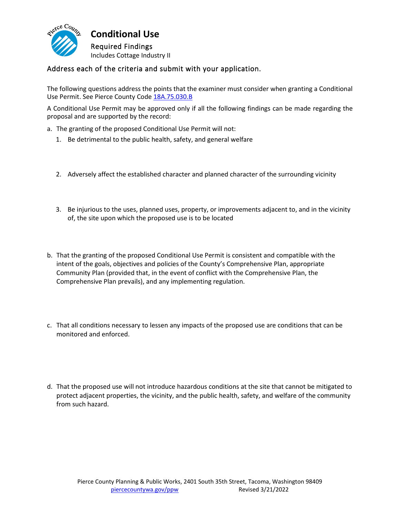

**Conditional Use** Required Findings Includes Cottage Industry II

## Address each of the criteria and submit with your application.

The following questions address the points that the examiner must consider when granting a Conditional Use Permit. See Pierce County Code [18A.75.030.B](http://www.codepublishing.com/WA/PierceCounty/#!/PierceCounty18a/PierceCounty18A75.html)

A Conditional Use Permit may be approved only if all the following findings can be made regarding the proposal and are supported by the record:

- a. The granting of the proposed Conditional Use Permit will not:
	- 1. Be detrimental to the public health, safety, and general welfare
	- 2. Adversely affect the established character and planned character of the surrounding vicinity
	- 3. Be injurious to the uses, planned uses, property, or improvements adjacent to, and in the vicinity of, the site upon which the proposed use is to be located
- b. That the granting of the proposed Conditional Use Permit is consistent and compatible with the intent of the goals, objectives and policies of the County's Comprehensive Plan, appropriate Community Plan (provided that, in the event of conflict with the Comprehensive Plan, the Comprehensive Plan prevails), and any implementing regulation.
- c. That all conditions necessary to lessen any impacts of the proposed use are conditions that can be monitored and enforced.
- d. That the proposed use will not introduce hazardous conditions at the site that cannot be mitigated to protect adjacent properties, the vicinity, and the public health, safety, and welfare of the community from such hazard.